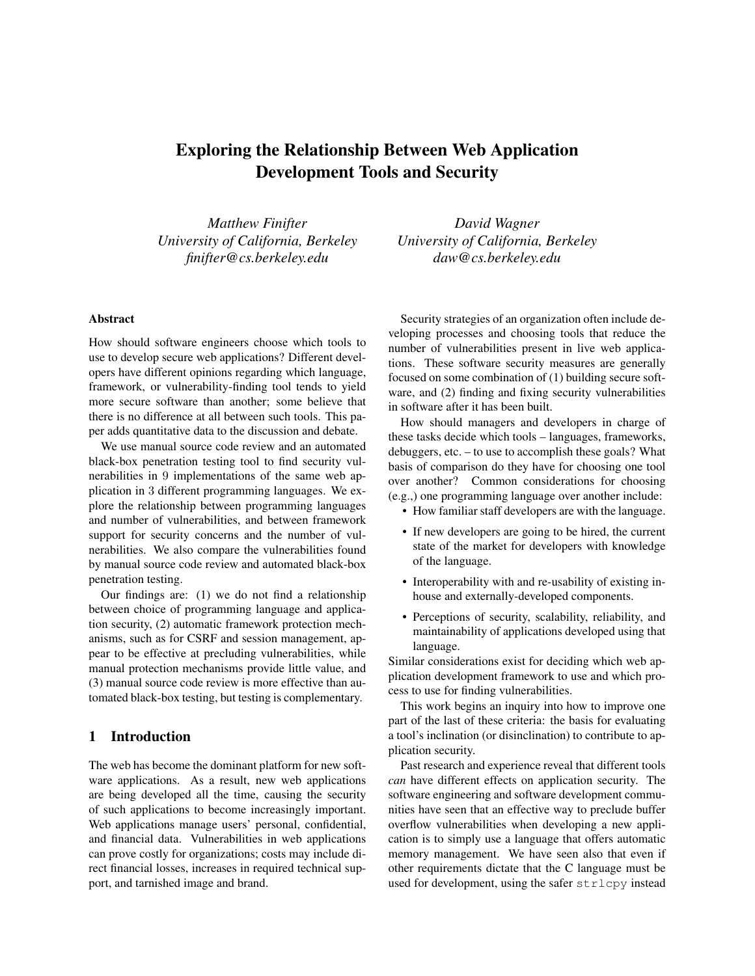# Exploring the Relationship Between Web Application Development Tools and Security

*Matthew Finifter University of California, Berkeley finifter@cs.berkeley.edu*

*University of California, Berkeley daw@cs.berkeley.edu*

*David Wagner*

# Abstract

How should software engineers choose which tools to use to develop secure web applications? Different developers have different opinions regarding which language, framework, or vulnerability-finding tool tends to yield more secure software than another; some believe that there is no difference at all between such tools. This paper adds quantitative data to the discussion and debate.

We use manual source code review and an automated black-box penetration testing tool to find security vulnerabilities in 9 implementations of the same web application in 3 different programming languages. We explore the relationship between programming languages and number of vulnerabilities, and between framework support for security concerns and the number of vulnerabilities. We also compare the vulnerabilities found by manual source code review and automated black-box penetration testing.

Our findings are: (1) we do not find a relationship between choice of programming language and application security, (2) automatic framework protection mechanisms, such as for CSRF and session management, appear to be effective at precluding vulnerabilities, while manual protection mechanisms provide little value, and (3) manual source code review is more effective than automated black-box testing, but testing is complementary.

### 1 Introduction

The web has become the dominant platform for new software applications. As a result, new web applications are being developed all the time, causing the security of such applications to become increasingly important. Web applications manage users' personal, confidential, and financial data. Vulnerabilities in web applications can prove costly for organizations; costs may include direct financial losses, increases in required technical support, and tarnished image and brand.

Security strategies of an organization often include developing processes and choosing tools that reduce the number of vulnerabilities present in live web applications. These software security measures are generally focused on some combination of (1) building secure software, and (2) finding and fixing security vulnerabilities in software after it has been built.

How should managers and developers in charge of these tasks decide which tools – languages, frameworks, debuggers, etc. – to use to accomplish these goals? What basis of comparison do they have for choosing one tool over another? Common considerations for choosing (e.g.,) one programming language over another include:

- How familiar staff developers are with the language.
- If new developers are going to be hired, the current state of the market for developers with knowledge of the language.
- Interoperability with and re-usability of existing inhouse and externally-developed components.
- Perceptions of security, scalability, reliability, and maintainability of applications developed using that language.

Similar considerations exist for deciding which web application development framework to use and which process to use for finding vulnerabilities.

This work begins an inquiry into how to improve one part of the last of these criteria: the basis for evaluating a tool's inclination (or disinclination) to contribute to application security.

Past research and experience reveal that different tools *can* have different effects on application security. The software engineering and software development communities have seen that an effective way to preclude buffer overflow vulnerabilities when developing a new application is to simply use a language that offers automatic memory management. We have seen also that even if other requirements dictate that the C language must be used for development, using the safer strlcpy instead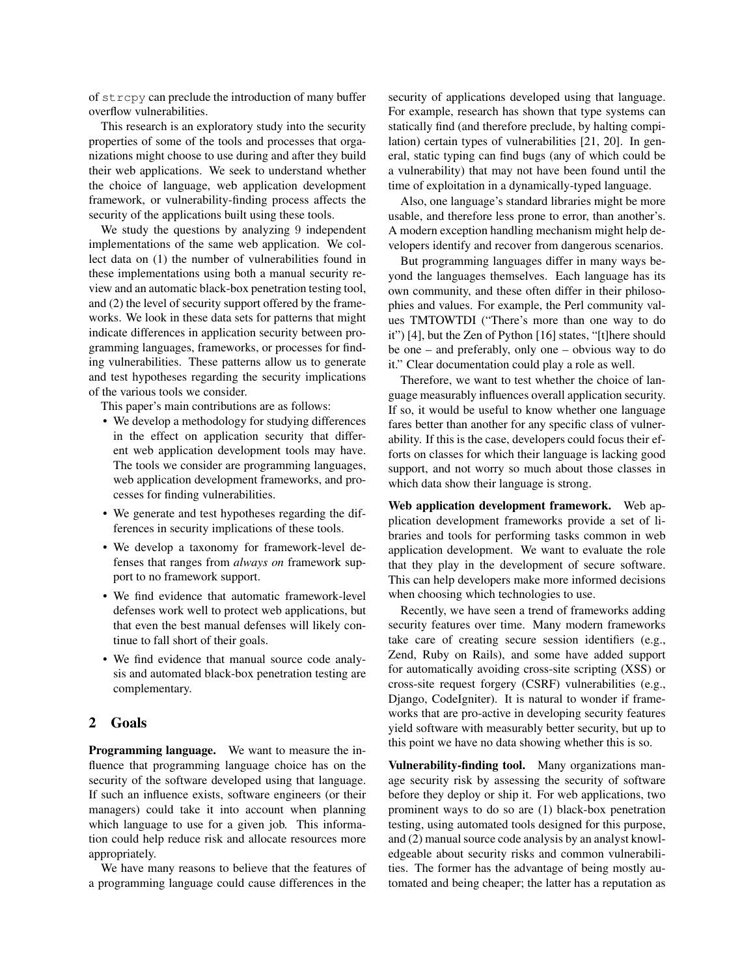of strcpy can preclude the introduction of many buffer overflow vulnerabilities.

This research is an exploratory study into the security properties of some of the tools and processes that organizations might choose to use during and after they build their web applications. We seek to understand whether the choice of language, web application development framework, or vulnerability-finding process affects the security of the applications built using these tools.

We study the questions by analyzing 9 independent implementations of the same web application. We collect data on (1) the number of vulnerabilities found in these implementations using both a manual security review and an automatic black-box penetration testing tool, and (2) the level of security support offered by the frameworks. We look in these data sets for patterns that might indicate differences in application security between programming languages, frameworks, or processes for finding vulnerabilities. These patterns allow us to generate and test hypotheses regarding the security implications of the various tools we consider.

This paper's main contributions are as follows:

- We develop a methodology for studying differences in the effect on application security that different web application development tools may have. The tools we consider are programming languages, web application development frameworks, and processes for finding vulnerabilities.
- We generate and test hypotheses regarding the differences in security implications of these tools.
- We develop a taxonomy for framework-level defenses that ranges from *always on* framework support to no framework support.
- We find evidence that automatic framework-level defenses work well to protect web applications, but that even the best manual defenses will likely continue to fall short of their goals.
- We find evidence that manual source code analysis and automated black-box penetration testing are complementary.

# 2 Goals

Programming language. We want to measure the influence that programming language choice has on the security of the software developed using that language. If such an influence exists, software engineers (or their managers) could take it into account when planning which language to use for a given job. This information could help reduce risk and allocate resources more appropriately.

We have many reasons to believe that the features of a programming language could cause differences in the security of applications developed using that language. For example, research has shown that type systems can statically find (and therefore preclude, by halting compilation) certain types of vulnerabilities [21, 20]. In general, static typing can find bugs (any of which could be a vulnerability) that may not have been found until the time of exploitation in a dynamically-typed language.

Also, one language's standard libraries might be more usable, and therefore less prone to error, than another's. A modern exception handling mechanism might help developers identify and recover from dangerous scenarios.

But programming languages differ in many ways beyond the languages themselves. Each language has its own community, and these often differ in their philosophies and values. For example, the Perl community values TMTOWTDI ("There's more than one way to do it") [4], but the Zen of Python [16] states, "[t]here should be one – and preferably, only one – obvious way to do it." Clear documentation could play a role as well.

Therefore, we want to test whether the choice of language measurably influences overall application security. If so, it would be useful to know whether one language fares better than another for any specific class of vulnerability. If this is the case, developers could focus their efforts on classes for which their language is lacking good support, and not worry so much about those classes in which data show their language is strong.

Web application development framework. Web application development frameworks provide a set of libraries and tools for performing tasks common in web application development. We want to evaluate the role that they play in the development of secure software. This can help developers make more informed decisions when choosing which technologies to use.

Recently, we have seen a trend of frameworks adding security features over time. Many modern frameworks take care of creating secure session identifiers (e.g., Zend, Ruby on Rails), and some have added support for automatically avoiding cross-site scripting (XSS) or cross-site request forgery (CSRF) vulnerabilities (e.g., Django, CodeIgniter). It is natural to wonder if frameworks that are pro-active in developing security features yield software with measurably better security, but up to this point we have no data showing whether this is so.

Vulnerability-finding tool. Many organizations manage security risk by assessing the security of software before they deploy or ship it. For web applications, two prominent ways to do so are (1) black-box penetration testing, using automated tools designed for this purpose, and (2) manual source code analysis by an analyst knowledgeable about security risks and common vulnerabilities. The former has the advantage of being mostly automated and being cheaper; the latter has a reputation as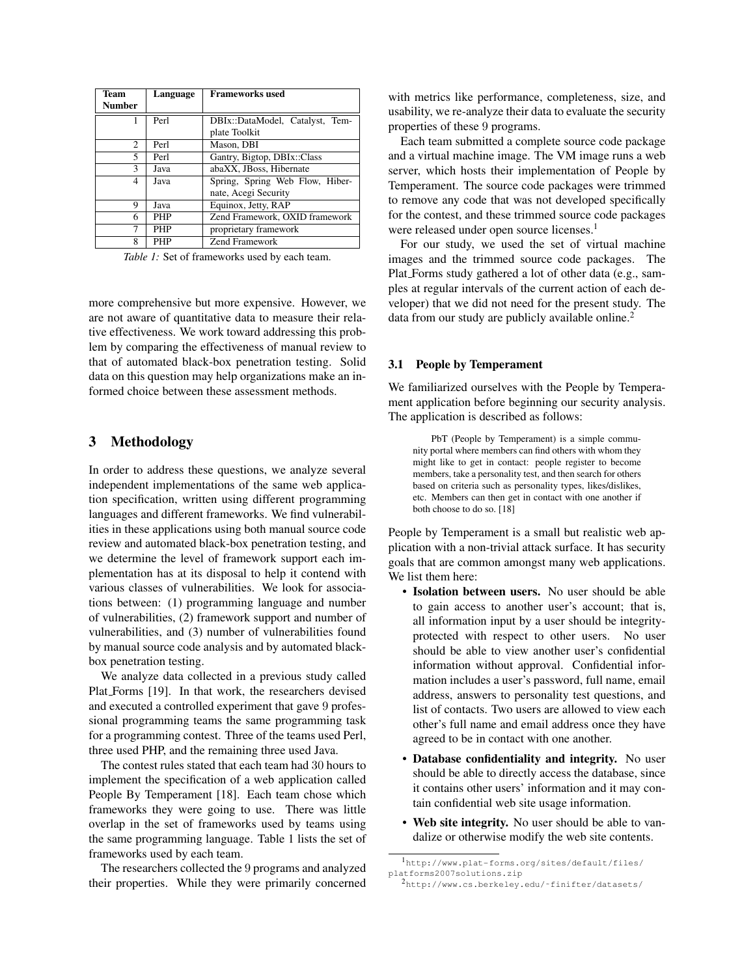| Team           | Language   | <b>Frameworks used</b>          |  |  |
|----------------|------------|---------------------------------|--|--|
| <b>Number</b>  |            |                                 |  |  |
|                | Perl       | DBIx::DataModel, Catalyst, Tem- |  |  |
|                |            | plate Toolkit                   |  |  |
| $\mathfrak{D}$ | Perl       | Mason, DBI                      |  |  |
| 5.             | Perl       | Gantry, Bigtop, DBIx::Class     |  |  |
| 3              | Java       | abaXX, JBoss, Hibernate         |  |  |
| 4              | Java       | Spring, Spring Web Flow, Hiber- |  |  |
|                |            | nate, Acegi Security            |  |  |
| 9              | Java       | Equinox, Jetty, RAP             |  |  |
| 6              | <b>PHP</b> | Zend Framework, OXID framework  |  |  |
| 7              | <b>PHP</b> | proprietary framework           |  |  |
| 8              | PHP        | <b>Zend Framework</b>           |  |  |

*Table 1:* Set of frameworks used by each team.

more comprehensive but more expensive. However, we are not aware of quantitative data to measure their relative effectiveness. We work toward addressing this problem by comparing the effectiveness of manual review to that of automated black-box penetration testing. Solid data on this question may help organizations make an informed choice between these assessment methods.

### 3 Methodology

In order to address these questions, we analyze several independent implementations of the same web application specification, written using different programming languages and different frameworks. We find vulnerabilities in these applications using both manual source code review and automated black-box penetration testing, and we determine the level of framework support each implementation has at its disposal to help it contend with various classes of vulnerabilities. We look for associations between: (1) programming language and number of vulnerabilities, (2) framework support and number of vulnerabilities, and (3) number of vulnerabilities found by manual source code analysis and by automated blackbox penetration testing.

We analyze data collected in a previous study called Plat Forms [19]. In that work, the researchers devised and executed a controlled experiment that gave 9 professional programming teams the same programming task for a programming contest. Three of the teams used Perl, three used PHP, and the remaining three used Java.

The contest rules stated that each team had 30 hours to implement the specification of a web application called People By Temperament [18]. Each team chose which frameworks they were going to use. There was little overlap in the set of frameworks used by teams using the same programming language. Table 1 lists the set of frameworks used by each team.

The researchers collected the 9 programs and analyzed their properties. While they were primarily concerned with metrics like performance, completeness, size, and usability, we re-analyze their data to evaluate the security properties of these 9 programs.

Each team submitted a complete source code package and a virtual machine image. The VM image runs a web server, which hosts their implementation of People by Temperament. The source code packages were trimmed to remove any code that was not developed specifically for the contest, and these trimmed source code packages were released under open source licenses.<sup>1</sup>

For our study, we used the set of virtual machine images and the trimmed source code packages. The Plat Forms study gathered a lot of other data (e.g., samples at regular intervals of the current action of each developer) that we did not need for the present study. The data from our study are publicly available online.<sup>2</sup>

#### 3.1 People by Temperament

We familiarized ourselves with the People by Temperament application before beginning our security analysis. The application is described as follows:

PbT (People by Temperament) is a simple community portal where members can find others with whom they might like to get in contact: people register to become members, take a personality test, and then search for others based on criteria such as personality types, likes/dislikes, etc. Members can then get in contact with one another if both choose to do so. [18]

People by Temperament is a small but realistic web application with a non-trivial attack surface. It has security goals that are common amongst many web applications. We list them here:

- Isolation between users. No user should be able to gain access to another user's account; that is, all information input by a user should be integrityprotected with respect to other users. No user should be able to view another user's confidential information without approval. Confidential information includes a user's password, full name, email address, answers to personality test questions, and list of contacts. Two users are allowed to view each other's full name and email address once they have agreed to be in contact with one another.
- Database confidentiality and integrity. No user should be able to directly access the database, since it contains other users' information and it may contain confidential web site usage information.
- Web site integrity. No user should be able to vandalize or otherwise modify the web site contents.

<sup>1</sup>http://www.plat-forms.org/sites/default/files/ platforms2007solutions.zip

<sup>2</sup>http://www.cs.berkeley.edu/˜finifter/datasets/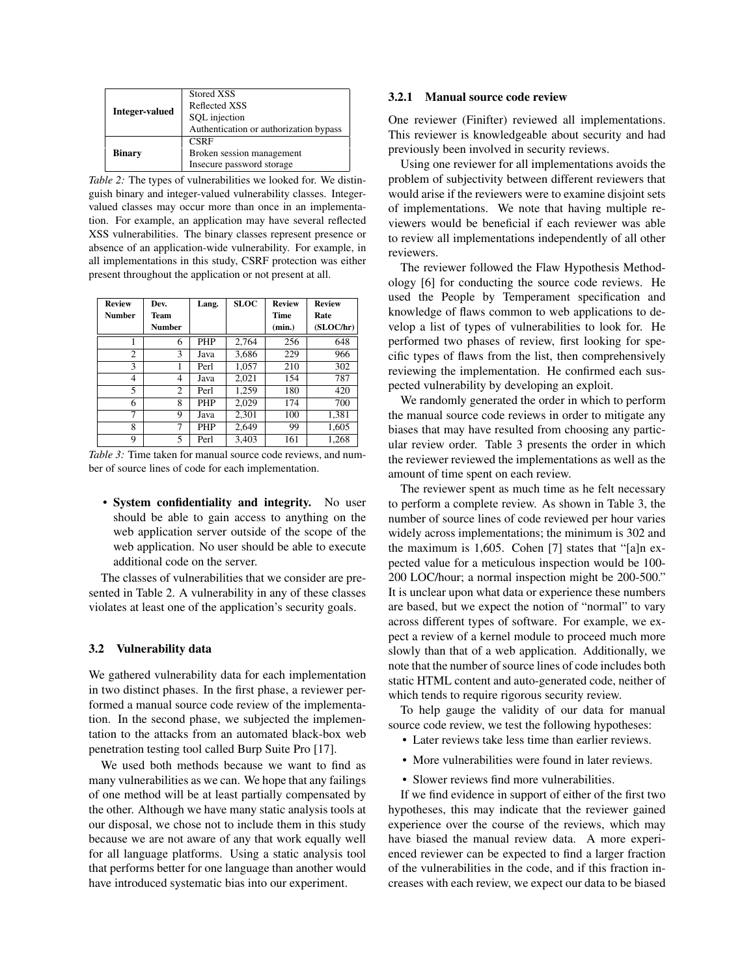| <b>Integer-valued</b> | Stored XSS<br>Reflected XSS<br>SQL injection<br>Authentication or authorization bypass |
|-----------------------|----------------------------------------------------------------------------------------|
| <b>Binary</b>         | <b>CSRF</b><br>Broken session management<br>Insecure password storage                  |

*Table 2:* The types of vulnerabilities we looked for. We distinguish binary and integer-valued vulnerability classes. Integervalued classes may occur more than once in an implementation. For example, an application may have several reflected XSS vulnerabilities. The binary classes represent presence or absence of an application-wide vulnerability. For example, in all implementations in this study, CSRF protection was either present throughout the application or not present at all.

| <b>Review</b> | Dev.   | Lang.      | <b>SLOC</b> | <b>Review</b> | <b>Review</b> |
|---------------|--------|------------|-------------|---------------|---------------|
| <b>Number</b> | Team   |            |             | Time          | Rate          |
|               | Number |            |             | (min.)        | (SLOC/hr)     |
| 1             | 6      | <b>PHP</b> | 2,764       | 256           | 648           |
| 2             | 3      | Java       | 3,686       | 229           | 966           |
| 3             |        | Perl       | 1,057       | 210           | 302           |
| 4             | 4      | Java       | 2,021       | 154           | 787           |
| 5             | 2      | Perl       | 1,259       | 180           | 420           |
| 6             | 8      | <b>PHP</b> | 2,029       | 174           | 700           |
| 7             | 9      | Java       | 2,301       | 100           | 1,381         |
| 8             | 7      | <b>PHP</b> | 2,649       | 99            | 1,605         |
| 9             | 5.     | Perl       | 3.403       | 161           | 1,268         |

*Table 3:* Time taken for manual source code reviews, and number of source lines of code for each implementation.

• System confidentiality and integrity. No user should be able to gain access to anything on the web application server outside of the scope of the web application. No user should be able to execute additional code on the server.

The classes of vulnerabilities that we consider are presented in Table 2. A vulnerability in any of these classes violates at least one of the application's security goals.

#### 3.2 Vulnerability data

We gathered vulnerability data for each implementation in two distinct phases. In the first phase, a reviewer performed a manual source code review of the implementation. In the second phase, we subjected the implementation to the attacks from an automated black-box web penetration testing tool called Burp Suite Pro [17].

We used both methods because we want to find as many vulnerabilities as we can. We hope that any failings of one method will be at least partially compensated by the other. Although we have many static analysis tools at our disposal, we chose not to include them in this study because we are not aware of any that work equally well for all language platforms. Using a static analysis tool that performs better for one language than another would have introduced systematic bias into our experiment.

#### 3.2.1 Manual source code review

One reviewer (Finifter) reviewed all implementations. This reviewer is knowledgeable about security and had previously been involved in security reviews.

Using one reviewer for all implementations avoids the problem of subjectivity between different reviewers that would arise if the reviewers were to examine disjoint sets of implementations. We note that having multiple reviewers would be beneficial if each reviewer was able to review all implementations independently of all other reviewers.

The reviewer followed the Flaw Hypothesis Methodology [6] for conducting the source code reviews. He used the People by Temperament specification and knowledge of flaws common to web applications to develop a list of types of vulnerabilities to look for. He performed two phases of review, first looking for specific types of flaws from the list, then comprehensively reviewing the implementation. He confirmed each suspected vulnerability by developing an exploit.

We randomly generated the order in which to perform the manual source code reviews in order to mitigate any biases that may have resulted from choosing any particular review order. Table 3 presents the order in which the reviewer reviewed the implementations as well as the amount of time spent on each review.

The reviewer spent as much time as he felt necessary to perform a complete review. As shown in Table 3, the number of source lines of code reviewed per hour varies widely across implementations; the minimum is 302 and the maximum is 1,605. Cohen [7] states that "[a]n expected value for a meticulous inspection would be 100- 200 LOC/hour; a normal inspection might be 200-500." It is unclear upon what data or experience these numbers are based, but we expect the notion of "normal" to vary across different types of software. For example, we expect a review of a kernel module to proceed much more slowly than that of a web application. Additionally, we note that the number of source lines of code includes both static HTML content and auto-generated code, neither of which tends to require rigorous security review.

To help gauge the validity of our data for manual source code review, we test the following hypotheses:

- Later reviews take less time than earlier reviews.
- More vulnerabilities were found in later reviews.
- Slower reviews find more vulnerabilities.

If we find evidence in support of either of the first two hypotheses, this may indicate that the reviewer gained experience over the course of the reviews, which may have biased the manual review data. A more experienced reviewer can be expected to find a larger fraction of the vulnerabilities in the code, and if this fraction increases with each review, we expect our data to be biased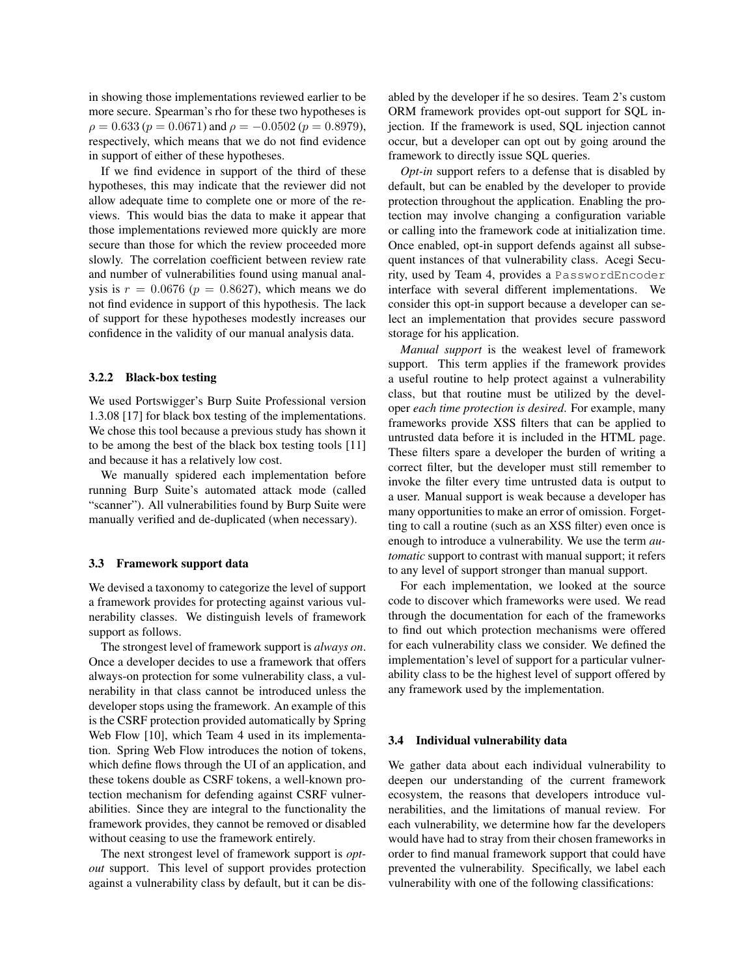in showing those implementations reviewed earlier to be more secure. Spearman's rho for these two hypotheses is  $\rho = 0.633 (p = 0.0671)$  and  $\rho = -0.0502 (p = 0.8979)$ , respectively, which means that we do not find evidence in support of either of these hypotheses.

If we find evidence in support of the third of these hypotheses, this may indicate that the reviewer did not allow adequate time to complete one or more of the reviews. This would bias the data to make it appear that those implementations reviewed more quickly are more secure than those for which the review proceeded more slowly. The correlation coefficient between review rate and number of vulnerabilities found using manual analysis is  $r = 0.0676$  ( $p = 0.8627$ ), which means we do not find evidence in support of this hypothesis. The lack of support for these hypotheses modestly increases our confidence in the validity of our manual analysis data.

#### 3.2.2 Black-box testing

We used Portswigger's Burp Suite Professional version 1.3.08 [17] for black box testing of the implementations. We chose this tool because a previous study has shown it to be among the best of the black box testing tools [11] and because it has a relatively low cost.

We manually spidered each implementation before running Burp Suite's automated attack mode (called "scanner"). All vulnerabilities found by Burp Suite were manually verified and de-duplicated (when necessary).

#### 3.3 Framework support data

We devised a taxonomy to categorize the level of support a framework provides for protecting against various vulnerability classes. We distinguish levels of framework support as follows.

The strongest level of framework support is *always on*. Once a developer decides to use a framework that offers always-on protection for some vulnerability class, a vulnerability in that class cannot be introduced unless the developer stops using the framework. An example of this is the CSRF protection provided automatically by Spring Web Flow [10], which Team 4 used in its implementation. Spring Web Flow introduces the notion of tokens, which define flows through the UI of an application, and these tokens double as CSRF tokens, a well-known protection mechanism for defending against CSRF vulnerabilities. Since they are integral to the functionality the framework provides, they cannot be removed or disabled without ceasing to use the framework entirely.

The next strongest level of framework support is *optout* support. This level of support provides protection against a vulnerability class by default, but it can be disabled by the developer if he so desires. Team 2's custom ORM framework provides opt-out support for SQL injection. If the framework is used, SQL injection cannot occur, but a developer can opt out by going around the framework to directly issue SQL queries.

*Opt-in* support refers to a defense that is disabled by default, but can be enabled by the developer to provide protection throughout the application. Enabling the protection may involve changing a configuration variable or calling into the framework code at initialization time. Once enabled, opt-in support defends against all subsequent instances of that vulnerability class. Acegi Security, used by Team 4, provides a PasswordEncoder interface with several different implementations. We consider this opt-in support because a developer can select an implementation that provides secure password storage for his application.

*Manual support* is the weakest level of framework support. This term applies if the framework provides a useful routine to help protect against a vulnerability class, but that routine must be utilized by the developer *each time protection is desired*. For example, many frameworks provide XSS filters that can be applied to untrusted data before it is included in the HTML page. These filters spare a developer the burden of writing a correct filter, but the developer must still remember to invoke the filter every time untrusted data is output to a user. Manual support is weak because a developer has many opportunities to make an error of omission. Forgetting to call a routine (such as an XSS filter) even once is enough to introduce a vulnerability. We use the term *automatic* support to contrast with manual support; it refers to any level of support stronger than manual support.

For each implementation, we looked at the source code to discover which frameworks were used. We read through the documentation for each of the frameworks to find out which protection mechanisms were offered for each vulnerability class we consider. We defined the implementation's level of support for a particular vulnerability class to be the highest level of support offered by any framework used by the implementation.

#### 3.4 Individual vulnerability data

We gather data about each individual vulnerability to deepen our understanding of the current framework ecosystem, the reasons that developers introduce vulnerabilities, and the limitations of manual review. For each vulnerability, we determine how far the developers would have had to stray from their chosen frameworks in order to find manual framework support that could have prevented the vulnerability. Specifically, we label each vulnerability with one of the following classifications: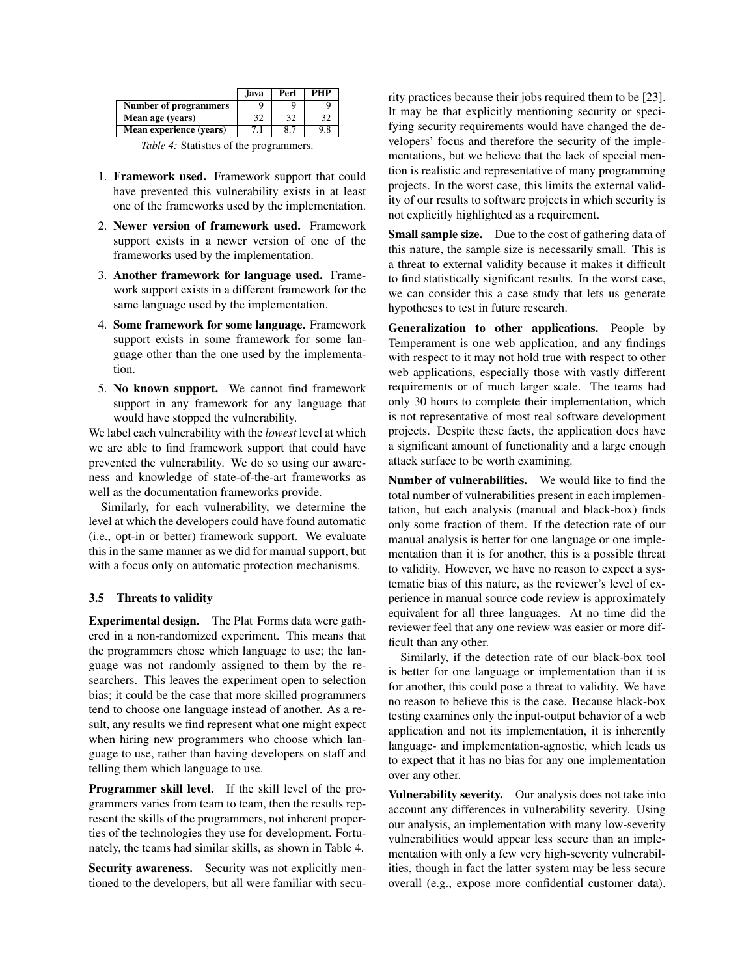|                              | .Java | Perl | <b>PHP</b> |
|------------------------------|-------|------|------------|
| <b>Number of programmers</b> |       |      |            |
| Mean age (years)             |       |      |            |
| Mean experience (years)      | 7.1   | 8.7  |            |

*Table 4:* Statistics of the programmers.

- 1. Framework used. Framework support that could have prevented this vulnerability exists in at least one of the frameworks used by the implementation.
- 2. Newer version of framework used. Framework support exists in a newer version of one of the frameworks used by the implementation.
- 3. Another framework for language used. Framework support exists in a different framework for the same language used by the implementation.
- 4. Some framework for some language. Framework support exists in some framework for some language other than the one used by the implementation.
- 5. No known support. We cannot find framework support in any framework for any language that would have stopped the vulnerability.

We label each vulnerability with the *lowest* level at which we are able to find framework support that could have prevented the vulnerability. We do so using our awareness and knowledge of state-of-the-art frameworks as well as the documentation frameworks provide.

Similarly, for each vulnerability, we determine the level at which the developers could have found automatic (i.e., opt-in or better) framework support. We evaluate this in the same manner as we did for manual support, but with a focus only on automatic protection mechanisms.

### 3.5 Threats to validity

Experimental design. The Plat Forms data were gathered in a non-randomized experiment. This means that the programmers chose which language to use; the language was not randomly assigned to them by the researchers. This leaves the experiment open to selection bias; it could be the case that more skilled programmers tend to choose one language instead of another. As a result, any results we find represent what one might expect when hiring new programmers who choose which language to use, rather than having developers on staff and telling them which language to use.

Programmer skill level. If the skill level of the programmers varies from team to team, then the results represent the skills of the programmers, not inherent properties of the technologies they use for development. Fortunately, the teams had similar skills, as shown in Table 4.

Security awareness. Security was not explicitly mentioned to the developers, but all were familiar with security practices because their jobs required them to be [23]. It may be that explicitly mentioning security or specifying security requirements would have changed the developers' focus and therefore the security of the implementations, but we believe that the lack of special mention is realistic and representative of many programming projects. In the worst case, this limits the external validity of our results to software projects in which security is not explicitly highlighted as a requirement.

Small sample size. Due to the cost of gathering data of this nature, the sample size is necessarily small. This is a threat to external validity because it makes it difficult to find statistically significant results. In the worst case, we can consider this a case study that lets us generate hypotheses to test in future research.

Generalization to other applications. People by Temperament is one web application, and any findings with respect to it may not hold true with respect to other web applications, especially those with vastly different requirements or of much larger scale. The teams had only 30 hours to complete their implementation, which is not representative of most real software development projects. Despite these facts, the application does have a significant amount of functionality and a large enough attack surface to be worth examining.

Number of vulnerabilities. We would like to find the total number of vulnerabilities present in each implementation, but each analysis (manual and black-box) finds only some fraction of them. If the detection rate of our manual analysis is better for one language or one implementation than it is for another, this is a possible threat to validity. However, we have no reason to expect a systematic bias of this nature, as the reviewer's level of experience in manual source code review is approximately equivalent for all three languages. At no time did the reviewer feel that any one review was easier or more difficult than any other.

Similarly, if the detection rate of our black-box tool is better for one language or implementation than it is for another, this could pose a threat to validity. We have no reason to believe this is the case. Because black-box testing examines only the input-output behavior of a web application and not its implementation, it is inherently language- and implementation-agnostic, which leads us to expect that it has no bias for any one implementation over any other.

Vulnerability severity. Our analysis does not take into account any differences in vulnerability severity. Using our analysis, an implementation with many low-severity vulnerabilities would appear less secure than an implementation with only a few very high-severity vulnerabilities, though in fact the latter system may be less secure overall (e.g., expose more confidential customer data).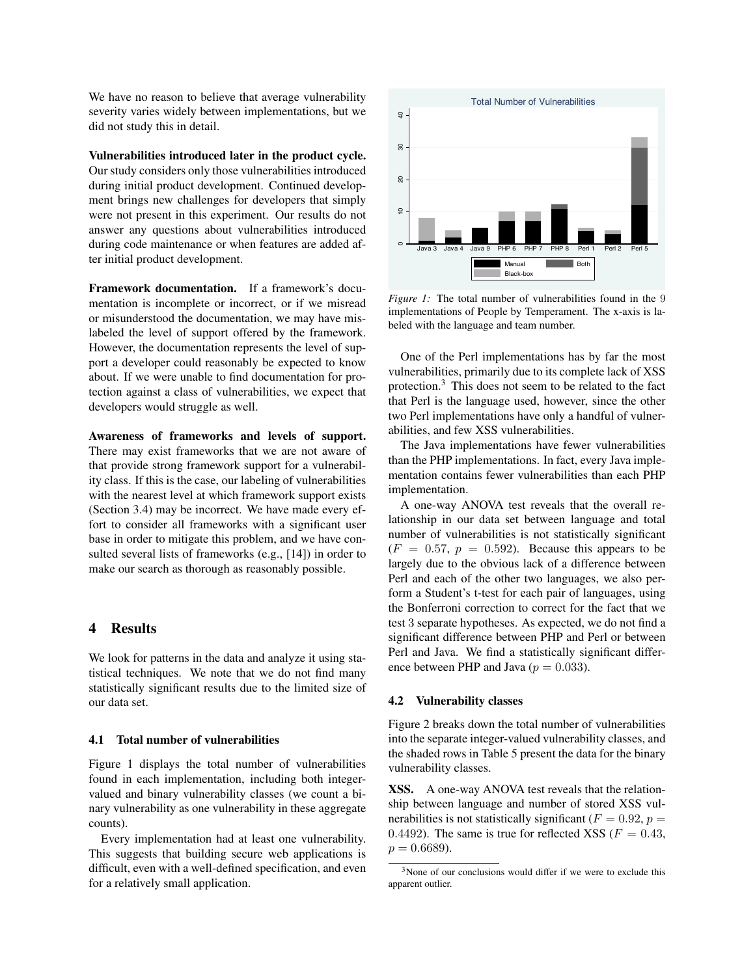We have no reason to believe that average vulnerability severity varies widely between implementations, but we did not study this in detail.

Vulnerabilities introduced later in the product cycle.

Our study considers only those vulnerabilities introduced during initial product development. Continued development brings new challenges for developers that simply were not present in this experiment. Our results do not answer any questions about vulnerabilities introduced during code maintenance or when features are added after initial product development.

Framework documentation. If a framework's documentation is incomplete or incorrect, or if we misread or misunderstood the documentation, we may have mislabeled the level of support offered by the framework. However, the documentation represents the level of support a developer could reasonably be expected to know about. If we were unable to find documentation for protection against a class of vulnerabilities, we expect that developers would struggle as well.

Awareness of frameworks and levels of support. There may exist frameworks that we are not aware of that provide strong framework support for a vulnerability class. If this is the case, our labeling of vulnerabilities with the nearest level at which framework support exists (Section 3.4) may be incorrect. We have made every effort to consider all frameworks with a significant user base in order to mitigate this problem, and we have consulted several lists of frameworks (e.g., [14]) in order to make our search as thorough as reasonably possible.

# 4 Results

We look for patterns in the data and analyze it using statistical techniques. We note that we do not find many statistically significant results due to the limited size of our data set.

# 4.1 Total number of vulnerabilities

Figure 1 displays the total number of vulnerabilities found in each implementation, including both integervalued and binary vulnerability classes (we count a binary vulnerability as one vulnerability in these aggregate counts).

Every implementation had at least one vulnerability. This suggests that building secure web applications is difficult, even with a well-defined specification, and even for a relatively small application.



*Figure 1:* The total number of vulnerabilities found in the 9 implementations of People by Temperament. The x-axis is labeled with the language and team number.

One of the Perl implementations has by far the most vulnerabilities, primarily due to its complete lack of XSS protection.<sup>3</sup> This does not seem to be related to the fact that Perl is the language used, however, since the other two Perl implementations have only a handful of vulnerabilities, and few XSS vulnerabilities.

The Java implementations have fewer vulnerabilities than the PHP implementations. In fact, every Java implementation contains fewer vulnerabilities than each PHP implementation.

A one-way ANOVA test reveals that the overall relationship in our data set between language and total number of vulnerabilities is not statistically significant  $(F = 0.57, p = 0.592)$ . Because this appears to be largely due to the obvious lack of a difference between Perl and each of the other two languages, we also perform a Student's t-test for each pair of languages, using the Bonferroni correction to correct for the fact that we test 3 separate hypotheses. As expected, we do not find a significant difference between PHP and Perl or between Perl and Java. We find a statistically significant difference between PHP and Java ( $p = 0.033$ ).

#### 4.2 Vulnerability classes

Figure 2 breaks down the total number of vulnerabilities into the separate integer-valued vulnerability classes, and the shaded rows in Table 5 present the data for the binary vulnerability classes.

XSS. A one-way ANOVA test reveals that the relationship between language and number of stored XSS vulnerabilities is not statistically significant ( $F = 0.92$ ,  $p =$ 0.4492). The same is true for reflected XSS ( $F = 0.43$ ,  $p = 0.6689$ .

 $3$ None of our conclusions would differ if we were to exclude this apparent outlier.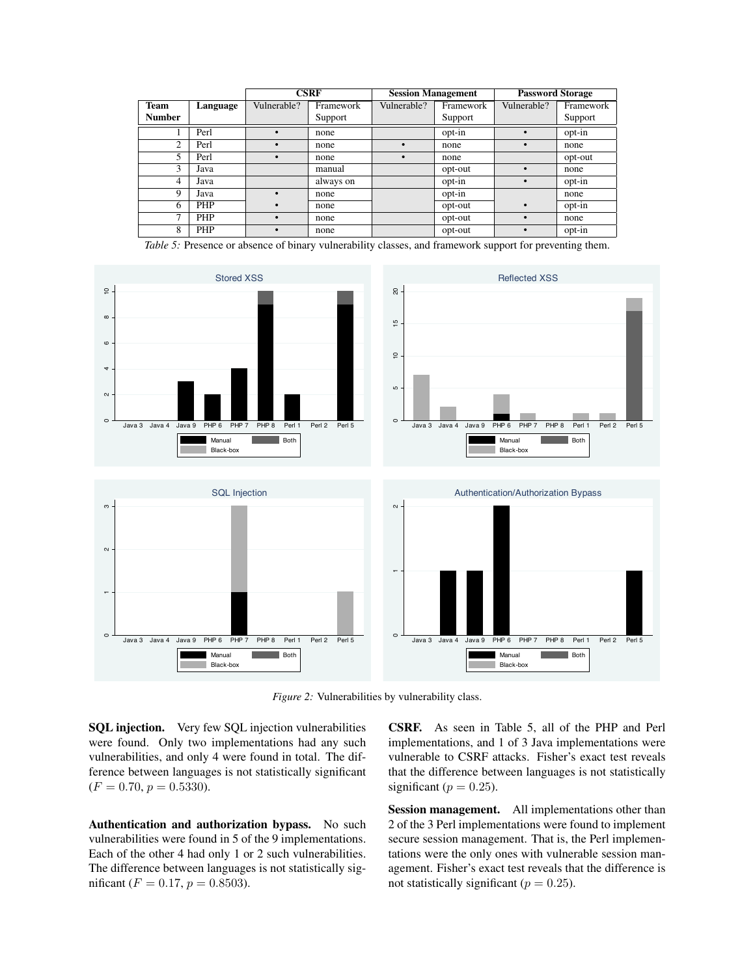|               |          | <b>CSRF</b> |           | <b>Session Management</b> |           | <b>Password Storage</b> |           |
|---------------|----------|-------------|-----------|---------------------------|-----------|-------------------------|-----------|
| <b>Team</b>   | Language | Vulnerable? | Framework | Vulnerable?               | Framework | Vulnerable?             | Framework |
| <b>Number</b> |          |             | Support   |                           | Support   |                         | Support   |
|               | Perl     | $\bullet$   | none      |                           | opt-in    | $\bullet$               | opt-in    |
| 2             | Perl     | $\bullet$   | none      | $\bullet$                 | none      | $\bullet$               | none      |
| 5             | Perl     | $\bullet$   | none      | $\bullet$                 | none      |                         | opt-out   |
| 3             | Java     |             | manual    |                           | opt-out   | $\bullet$               | none      |
| 4             | Java     |             | always on |                           | opt-in    | $\bullet$               | opt-in    |
| 9             | Java     | $\bullet$   | none      |                           | opt-in    |                         | none      |
| 6             | PHP      | ٠           | none      |                           | opt-out   | $\bullet$               | opt-in    |
| 7             | PHP      | $\bullet$   | none      |                           | opt-out   | $\bullet$               | none      |
| 8             | PHP      |             | none      |                           | opt-out   | $\bullet$               | opt-in    |

*Table 5:* Presence or absence of binary vulnerability classes, and framework support for preventing them.



*Figure 2:* Vulnerabilities by vulnerability class.

SQL injection. Very few SQL injection vulnerabilities were found. Only two implementations had any such vulnerabilities, and only 4 were found in total. The difference between languages is not statistically significant  $(F = 0.70, p = 0.5330).$ 

Authentication and authorization bypass. No such vulnerabilities were found in 5 of the 9 implementations. Each of the other 4 had only 1 or 2 such vulnerabilities. The difference between languages is not statistically significant ( $F = 0.17$ ,  $p = 0.8503$ ).

CSRF. As seen in Table 5, all of the PHP and Perl implementations, and 1 of 3 Java implementations were vulnerable to CSRF attacks. Fisher's exact test reveals that the difference between languages is not statistically significant ( $p = 0.25$ ).

Session management. All implementations other than 2 of the 3 Perl implementations were found to implement secure session management. That is, the Perl implementations were the only ones with vulnerable session management. Fisher's exact test reveals that the difference is not statistically significant ( $p = 0.25$ ).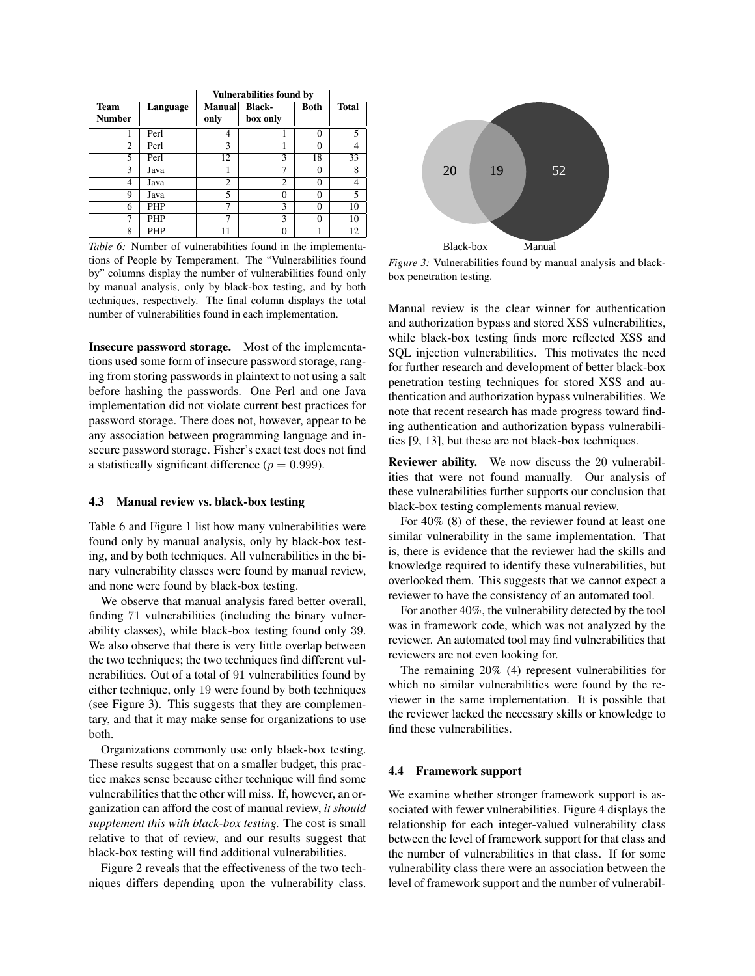|             |            | <b>Vulnerabilities found by</b> |                |             |              |
|-------------|------------|---------------------------------|----------------|-------------|--------------|
| <b>Team</b> | Language   | <b>Manual</b>                   | <b>Black-</b>  | <b>Both</b> | <b>Total</b> |
| Number      |            | only                            | box only       |             |              |
|             | Perl       | 4                               |                | 0           | 5            |
| 2           | Perl       | 3                               |                | 0           |              |
| 5           | Perl       | 12                              | 3              | 18          | 33           |
| 3           | Java       |                                 | ┑              | 0           | 8            |
| 4           | Java       | $\overline{c}$                  | $\mathfrak{D}$ | 0           |              |
| 9           | Java       | 5                               | 0              | $\Omega$    | 5            |
| 6           | PHP        | 7                               | 3              | $\theta$    | 10           |
|             | <b>PHP</b> |                                 | 3              | 0           | 10           |
| 8           | <b>PHP</b> |                                 |                |             | 12           |

*Table 6:* Number of vulnerabilities found in the implementations of People by Temperament. The "Vulnerabilities found by" columns display the number of vulnerabilities found only by manual analysis, only by black-box testing, and by both techniques, respectively. The final column displays the total number of vulnerabilities found in each implementation.

Insecure password storage. Most of the implementations used some form of insecure password storage, ranging from storing passwords in plaintext to not using a salt before hashing the passwords. One Perl and one Java implementation did not violate current best practices for password storage. There does not, however, appear to be any association between programming language and insecure password storage. Fisher's exact test does not find a statistically significant difference ( $p = 0.999$ ).

#### 4.3 Manual review vs. black-box testing

Table 6 and Figure 1 list how many vulnerabilities were found only by manual analysis, only by black-box testing, and by both techniques. All vulnerabilities in the binary vulnerability classes were found by manual review, and none were found by black-box testing.

We observe that manual analysis fared better overall, finding 71 vulnerabilities (including the binary vulnerability classes), while black-box testing found only 39. We also observe that there is very little overlap between the two techniques; the two techniques find different vulnerabilities. Out of a total of 91 vulnerabilities found by either technique, only 19 were found by both techniques (see Figure 3). This suggests that they are complementary, and that it may make sense for organizations to use both.

Organizations commonly use only black-box testing. These results suggest that on a smaller budget, this practice makes sense because either technique will find some vulnerabilities that the other will miss. If, however, an organization can afford the cost of manual review, *it should supplement this with black-box testing.* The cost is small relative to that of review, and our results suggest that black-box testing will find additional vulnerabilities.

Figure 2 reveals that the effectiveness of the two techniques differs depending upon the vulnerability class.



*Figure 3:* Vulnerabilities found by manual analysis and blackbox penetration testing.

Manual review is the clear winner for authentication and authorization bypass and stored XSS vulnerabilities, while black-box testing finds more reflected XSS and SQL injection vulnerabilities. This motivates the need for further research and development of better black-box penetration testing techniques for stored XSS and authentication and authorization bypass vulnerabilities. We note that recent research has made progress toward finding authentication and authorization bypass vulnerabilities [9, 13], but these are not black-box techniques.

Reviewer ability. We now discuss the 20 vulnerabilities that were not found manually. Our analysis of these vulnerabilities further supports our conclusion that black-box testing complements manual review.

For 40% (8) of these, the reviewer found at least one similar vulnerability in the same implementation. That is, there is evidence that the reviewer had the skills and knowledge required to identify these vulnerabilities, but overlooked them. This suggests that we cannot expect a reviewer to have the consistency of an automated tool.

For another 40%, the vulnerability detected by the tool was in framework code, which was not analyzed by the reviewer. An automated tool may find vulnerabilities that reviewers are not even looking for.

The remaining 20% (4) represent vulnerabilities for which no similar vulnerabilities were found by the reviewer in the same implementation. It is possible that the reviewer lacked the necessary skills or knowledge to find these vulnerabilities.

### 4.4 Framework support

We examine whether stronger framework support is associated with fewer vulnerabilities. Figure 4 displays the relationship for each integer-valued vulnerability class between the level of framework support for that class and the number of vulnerabilities in that class. If for some vulnerability class there were an association between the level of framework support and the number of vulnerabil-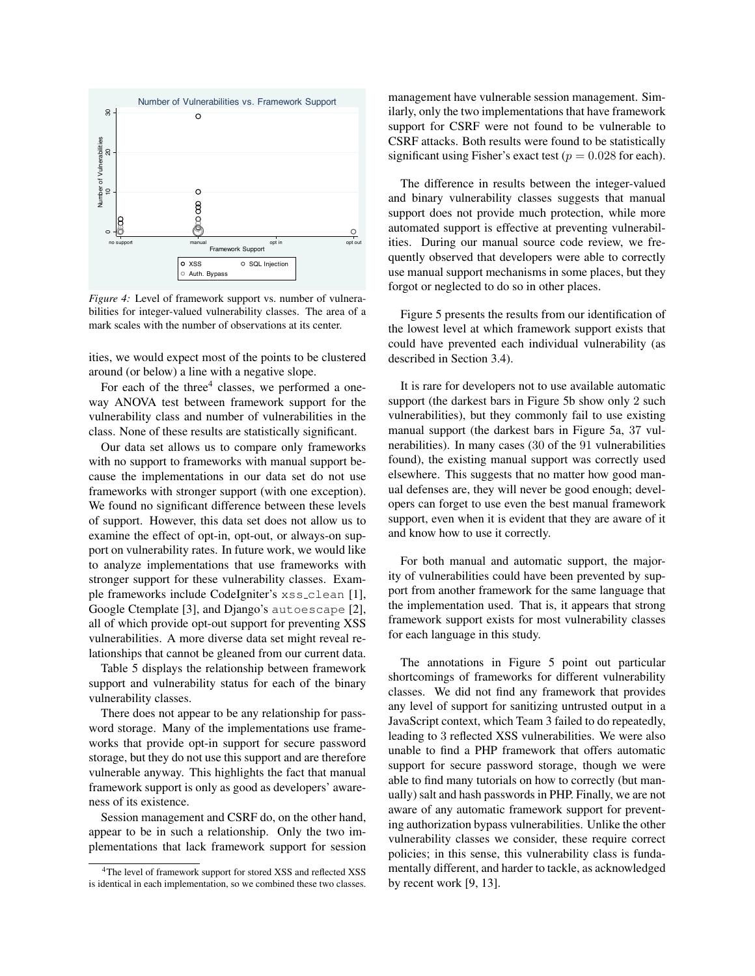

*Figure 4:* Level of framework support vs. number of vulnerabilities for integer-valued vulnerability classes. The area of a mark scales with the number of observations at its center.

ities, we would expect most of the points to be clustered around (or below) a line with a negative slope.

For each of the three $4$  classes, we performed a oneway ANOVA test between framework support for the vulnerability class and number of vulnerabilities in the class. None of these results are statistically significant.

Our data set allows us to compare only frameworks with no support to frameworks with manual support because the implementations in our data set do not use frameworks with stronger support (with one exception). We found no significant difference between these levels of support. However, this data set does not allow us to examine the effect of opt-in, opt-out, or always-on support on vulnerability rates. In future work, we would like to analyze implementations that use frameworks with stronger support for these vulnerability classes. Example frameworks include CodeIgniter's xss clean [1], Google Ctemplate [3], and Django's autoescape [2], all of which provide opt-out support for preventing XSS vulnerabilities. A more diverse data set might reveal relationships that cannot be gleaned from our current data.

Table 5 displays the relationship between framework support and vulnerability status for each of the binary vulnerability classes.

There does not appear to be any relationship for password storage. Many of the implementations use frameworks that provide opt-in support for secure password storage, but they do not use this support and are therefore vulnerable anyway. This highlights the fact that manual framework support is only as good as developers' awareness of its existence.

Session management and CSRF do, on the other hand, appear to be in such a relationship. Only the two implementations that lack framework support for session management have vulnerable session management. Similarly, only the two implementations that have framework support for CSRF were not found to be vulnerable to CSRF attacks. Both results were found to be statistically significant using Fisher's exact test ( $p = 0.028$  for each).

The difference in results between the integer-valued and binary vulnerability classes suggests that manual support does not provide much protection, while more automated support is effective at preventing vulnerabilities. During our manual source code review, we frequently observed that developers were able to correctly use manual support mechanisms in some places, but they forgot or neglected to do so in other places.

Figure 5 presents the results from our identification of the lowest level at which framework support exists that could have prevented each individual vulnerability (as described in Section 3.4).

It is rare for developers not to use available automatic support (the darkest bars in Figure 5b show only 2 such vulnerabilities), but they commonly fail to use existing manual support (the darkest bars in Figure 5a, 37 vulnerabilities). In many cases (30 of the 91 vulnerabilities found), the existing manual support was correctly used elsewhere. This suggests that no matter how good manual defenses are, they will never be good enough; developers can forget to use even the best manual framework support, even when it is evident that they are aware of it and know how to use it correctly.

For both manual and automatic support, the majority of vulnerabilities could have been prevented by support from another framework for the same language that the implementation used. That is, it appears that strong framework support exists for most vulnerability classes for each language in this study.

The annotations in Figure 5 point out particular shortcomings of frameworks for different vulnerability classes. We did not find any framework that provides any level of support for sanitizing untrusted output in a JavaScript context, which Team 3 failed to do repeatedly, leading to 3 reflected XSS vulnerabilities. We were also unable to find a PHP framework that offers automatic support for secure password storage, though we were able to find many tutorials on how to correctly (but manually) salt and hash passwords in PHP. Finally, we are not aware of any automatic framework support for preventing authorization bypass vulnerabilities. Unlike the other vulnerability classes we consider, these require correct policies; in this sense, this vulnerability class is fundamentally different, and harder to tackle, as acknowledged by recent work [9, 13].

<sup>4</sup>The level of framework support for stored XSS and reflected XSS is identical in each implementation, so we combined these two classes.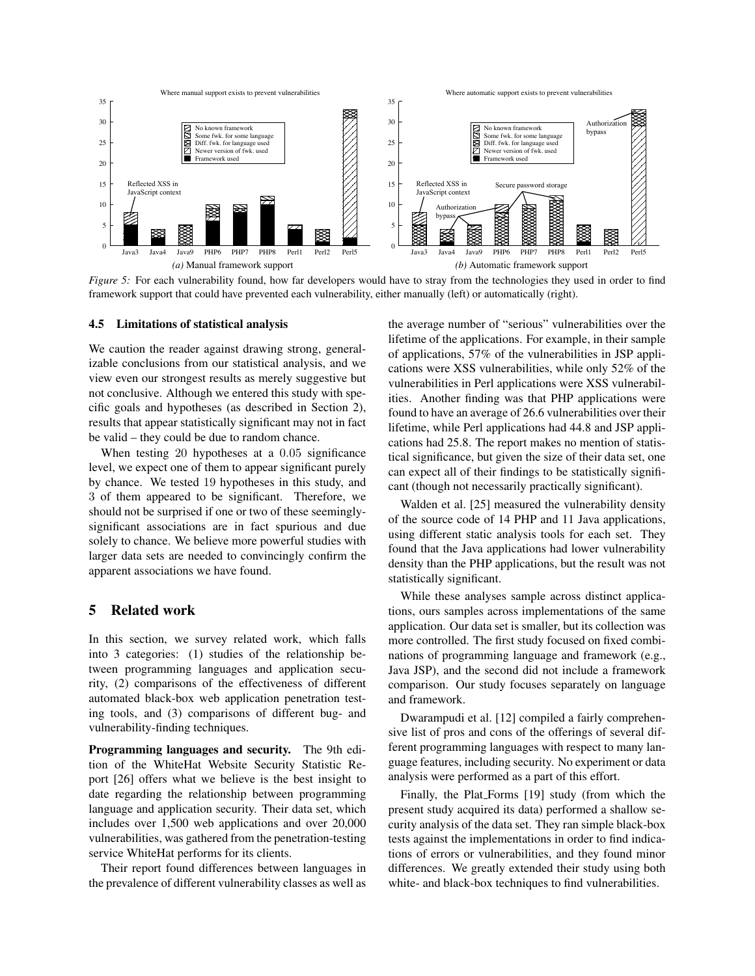

*Figure 5:* For each vulnerability found, how far developers would have to stray from the technologies they used in order to find framework support that could have prevented each vulnerability, either manually (left) or automatically (right).

#### 4.5 Limitations of statistical analysis

We caution the reader against drawing strong, generalizable conclusions from our statistical analysis, and we view even our strongest results as merely suggestive but not conclusive. Although we entered this study with specific goals and hypotheses (as described in Section 2), results that appear statistically significant may not in fact be valid – they could be due to random chance.

When testing 20 hypotheses at a 0.05 significance level, we expect one of them to appear significant purely by chance. We tested 19 hypotheses in this study, and 3 of them appeared to be significant. Therefore, we should not be surprised if one or two of these seeminglysignificant associations are in fact spurious and due solely to chance. We believe more powerful studies with larger data sets are needed to convincingly confirm the apparent associations we have found.

# 5 Related work

In this section, we survey related work, which falls into 3 categories: (1) studies of the relationship between programming languages and application security, (2) comparisons of the effectiveness of different automated black-box web application penetration testing tools, and (3) comparisons of different bug- and vulnerability-finding techniques.

Programming languages and security. The 9th edition of the WhiteHat Website Security Statistic Report [26] offers what we believe is the best insight to date regarding the relationship between programming language and application security. Their data set, which includes over 1,500 web applications and over 20,000 vulnerabilities, was gathered from the penetration-testing service WhiteHat performs for its clients.

Their report found differences between languages in the prevalence of different vulnerability classes as well as the average number of "serious" vulnerabilities over the lifetime of the applications. For example, in their sample of applications, 57% of the vulnerabilities in JSP applications were XSS vulnerabilities, while only 52% of the vulnerabilities in Perl applications were XSS vulnerabilities. Another finding was that PHP applications were found to have an average of 26.6 vulnerabilities over their lifetime, while Perl applications had 44.8 and JSP applications had 25.8. The report makes no mention of statistical significance, but given the size of their data set, one can expect all of their findings to be statistically significant (though not necessarily practically significant).

Walden et al. [25] measured the vulnerability density of the source code of 14 PHP and 11 Java applications, using different static analysis tools for each set. They found that the Java applications had lower vulnerability density than the PHP applications, but the result was not statistically significant.

While these analyses sample across distinct applications, ours samples across implementations of the same application. Our data set is smaller, but its collection was more controlled. The first study focused on fixed combinations of programming language and framework (e.g., Java JSP), and the second did not include a framework comparison. Our study focuses separately on language and framework.

Dwarampudi et al. [12] compiled a fairly comprehensive list of pros and cons of the offerings of several different programming languages with respect to many language features, including security. No experiment or data analysis were performed as a part of this effort.

Finally, the Plat<sub>-Forms</sub> [19] study (from which the present study acquired its data) performed a shallow security analysis of the data set. They ran simple black-box tests against the implementations in order to find indications of errors or vulnerabilities, and they found minor differences. We greatly extended their study using both white- and black-box techniques to find vulnerabilities.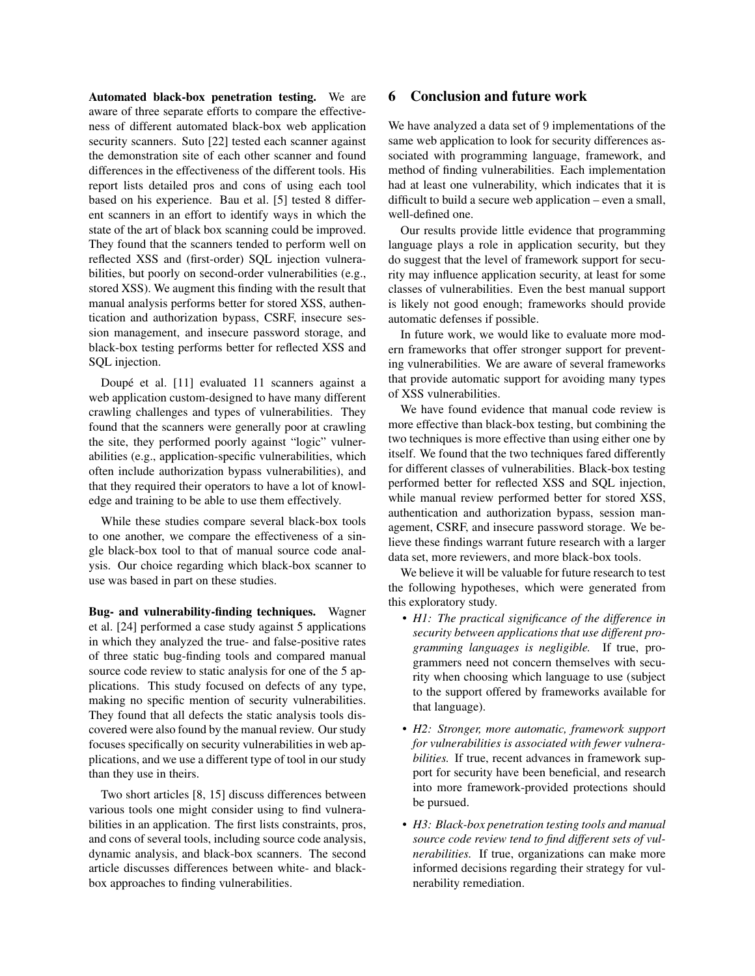Automated black-box penetration testing. We are aware of three separate efforts to compare the effectiveness of different automated black-box web application security scanners. Suto [22] tested each scanner against the demonstration site of each other scanner and found differences in the effectiveness of the different tools. His report lists detailed pros and cons of using each tool based on his experience. Bau et al. [5] tested 8 different scanners in an effort to identify ways in which the state of the art of black box scanning could be improved. They found that the scanners tended to perform well on reflected XSS and (first-order) SQL injection vulnerabilities, but poorly on second-order vulnerabilities (e.g., stored XSS). We augment this finding with the result that manual analysis performs better for stored XSS, authentication and authorization bypass, CSRF, insecure session management, and insecure password storage, and black-box testing performs better for reflected XSS and SQL injection.

Doupé et al. [11] evaluated 11 scanners against a web application custom-designed to have many different crawling challenges and types of vulnerabilities. They found that the scanners were generally poor at crawling the site, they performed poorly against "logic" vulnerabilities (e.g., application-specific vulnerabilities, which often include authorization bypass vulnerabilities), and that they required their operators to have a lot of knowledge and training to be able to use them effectively.

While these studies compare several black-box tools to one another, we compare the effectiveness of a single black-box tool to that of manual source code analysis. Our choice regarding which black-box scanner to use was based in part on these studies.

Bug- and vulnerability-finding techniques. Wagner et al. [24] performed a case study against 5 applications in which they analyzed the true- and false-positive rates of three static bug-finding tools and compared manual source code review to static analysis for one of the 5 applications. This study focused on defects of any type, making no specific mention of security vulnerabilities. They found that all defects the static analysis tools discovered were also found by the manual review. Our study focuses specifically on security vulnerabilities in web applications, and we use a different type of tool in our study than they use in theirs.

Two short articles [8, 15] discuss differences between various tools one might consider using to find vulnerabilities in an application. The first lists constraints, pros, and cons of several tools, including source code analysis, dynamic analysis, and black-box scanners. The second article discusses differences between white- and blackbox approaches to finding vulnerabilities.

# 6 Conclusion and future work

We have analyzed a data set of 9 implementations of the same web application to look for security differences associated with programming language, framework, and method of finding vulnerabilities. Each implementation had at least one vulnerability, which indicates that it is difficult to build a secure web application – even a small, well-defined one.

Our results provide little evidence that programming language plays a role in application security, but they do suggest that the level of framework support for security may influence application security, at least for some classes of vulnerabilities. Even the best manual support is likely not good enough; frameworks should provide automatic defenses if possible.

In future work, we would like to evaluate more modern frameworks that offer stronger support for preventing vulnerabilities. We are aware of several frameworks that provide automatic support for avoiding many types of XSS vulnerabilities.

We have found evidence that manual code review is more effective than black-box testing, but combining the two techniques is more effective than using either one by itself. We found that the two techniques fared differently for different classes of vulnerabilities. Black-box testing performed better for reflected XSS and SQL injection, while manual review performed better for stored XSS, authentication and authorization bypass, session management, CSRF, and insecure password storage. We believe these findings warrant future research with a larger data set, more reviewers, and more black-box tools.

We believe it will be valuable for future research to test the following hypotheses, which were generated from this exploratory study.

- *H1: The practical significance of the difference in security between applications that use different programming languages is negligible.* If true, programmers need not concern themselves with security when choosing which language to use (subject to the support offered by frameworks available for that language).
- *H2: Stronger, more automatic, framework support for vulnerabilities is associated with fewer vulnerabilities.* If true, recent advances in framework support for security have been beneficial, and research into more framework-provided protections should be pursued.
- *H3: Black-box penetration testing tools and manual source code review tend to find different sets of vulnerabilities.* If true, organizations can make more informed decisions regarding their strategy for vulnerability remediation.